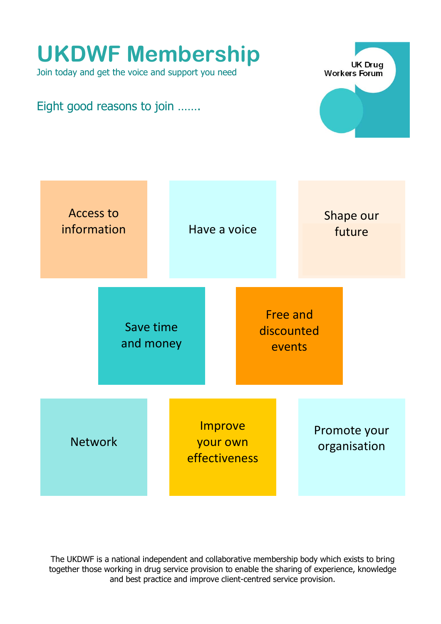

The UKDWF is a national independent and collaborative membership body which exists to bring together those working in drug service provision to enable the sharing of experience, knowledge and best practice and improve client-centred service provision.

# **UKDWF Membership**

Join today and get the voice and support you need

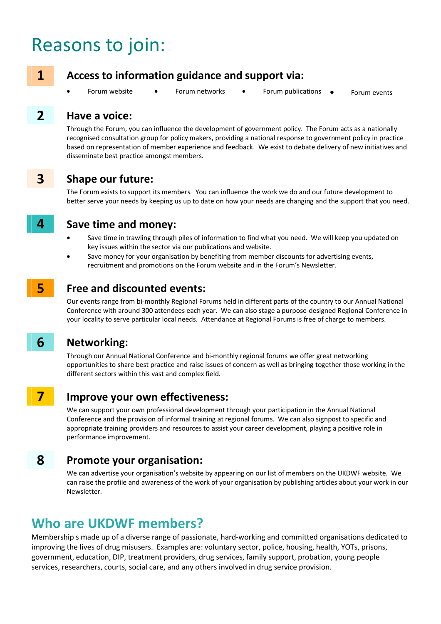# Reasons to join:



### **1 Access to information guidance and support via:**

- Forum website Forum networks Forum publications Forum events
- 
- 

#### **2 Have a voice:**

 Through the Forum, you can influence the development of government policy. The Forum acts as a nationally recognised consultation group for policy makers, providing a national response to government policy in practice based on representation of member experience and feedback. We exist to debate delivery of new initiatives and disseminate best practice amongst members.



#### **3 Shape our future:**

 The Forum exists to support its members. You can influence the work we do and our future development to better serve your needs by keeping us up to date on how your needs are changing and the support that you need.



#### **4 Save time and money:**

- Save time in trawling through piles of information to find what you need. We will keep you updated on key issues within the sector via our publications and website.
- Save money for your organisation by benefiting from member discounts for advertising events, recruitment and promotions on the Forum website and in the Forum's Newsletter.



#### **5** Free and discounted events:

 Our events range from bi-monthly Regional Forums held in different parts of the country to our Annual National Conference with around 300 attendees each year. We can also stage a purpose-designed Regional Conference in your locality to serve particular local needs. Attendance at Regional Forums is free of charge to members.

#### **6 Networking:**

 Through our Annual National Conference and bi-monthly regional forums we offer great networking opportunities to share best practice and raise issues of concern as well as bringing together those working in the different sectors within this vast and complex field.

#### **7 Improve your own effectiveness:**

We can support your own professional development through your participation in the Annual National Conference and the provision of informal training at regional forums. We can also signpost to specific and appropriate training providers and resources to assist your career development, playing a positive role in performance improvement.

#### **8 Promote your organisation:**

 We can advertise your organisation's website by appearing on our list of members on the UKDWF website. We can raise the profile and awareness of the work of your organisation by publishing articles about your work in our Newsletter.

# **Who are UKDWF members?**

Membership s made up of a diverse range of passionate, hard-working and committed organisations dedicated to improving the lives of drug misusers. Examples are: voluntary sector, police, housing, health, YOTs, prisons, government, education, DIP, treatment providers, drug services, family support, probation, young people services, researchers, courts, social care, and any others involved in drug service provision.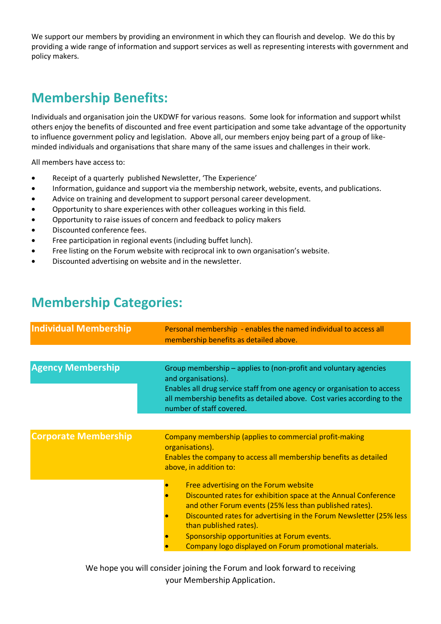We support our members by providing an environment in which they can flourish and develop. We do this by providing a wide range of information and support services as well as representing interests with government and policy makers.

# **Membership Benefits:**

Individuals and organisation join the UKDWF for various reasons. Some look for information and support whilst others enjoy the benefits of discounted and free event participation and some take advantage of the opportunity to influence government policy and legislation. Above all, our members enjoy being part of a group of likeminded individuals and organisations that share many of the same issues and challenges in their work.

All members have access to:

- Receipt of a quarterly published Newsletter, 'The Experience'
- Information, guidance and support via the membership network, website, events, and publications.
- Advice on training and development to support personal career development.
- Opportunity to share experiences with other colleagues working in this field.
- Opportunity to raise issues of concern and feedback to policy makers
- Discounted conference fees.
- Free participation in regional events (including buffet lunch).
- Free listing on the Forum website with reciprocal ink to own organisation's website.
- Discounted advertising on website and in the newsletter.

# **Membership Categories:**

| <b>Individual Membership</b> | Personal membership - enables the named individual to access all<br>membership benefits as detailed above.                                                                                                                                                                                                                                                                 |
|------------------------------|----------------------------------------------------------------------------------------------------------------------------------------------------------------------------------------------------------------------------------------------------------------------------------------------------------------------------------------------------------------------------|
|                              |                                                                                                                                                                                                                                                                                                                                                                            |
| <b>Agency Membership</b>     | Group membership – applies to (non-profit and voluntary agencies<br>and organisations).<br>Enables all drug service staff from one agency or organisation to access<br>all membership benefits as detailed above. Cost varies according to the<br>number of staff covered.                                                                                                 |
|                              |                                                                                                                                                                                                                                                                                                                                                                            |
| <b>Corporate Membership</b>  | Company membership (applies to commercial profit-making<br>organisations).<br>Enables the company to access all membership benefits as detailed<br>above, in addition to:                                                                                                                                                                                                  |
|                              | Free advertising on the Forum website<br>Discounted rates for exhibition space at the Annual Conference<br>and other Forum events (25% less than published rates).<br>Discounted rates for advertising in the Forum Newsletter (25% less<br>than published rates).<br>Sponsorship opportunities at Forum events.<br>Company logo displayed on Forum promotional materials. |

We hope you will consider joining the Forum and look forward to receiving your Membership Application.